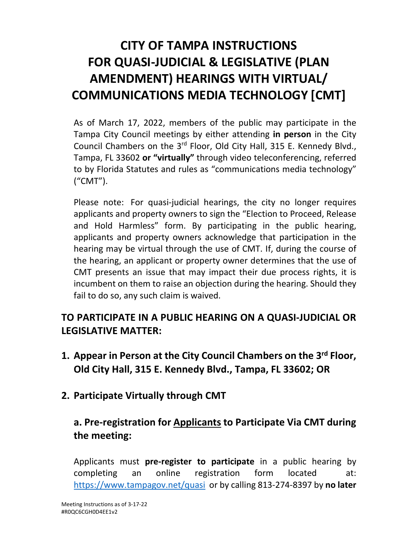# **CITY OF TAMPA INSTRUCTIONS FOR QUASI-JUDICIAL & LEGISLATIVE (PLAN AMENDMENT) HEARINGS WITH VIRTUAL/ COMMUNICATIONS MEDIA TECHNOLOGY [CMT]**

As of March 17, 2022, members of the public may participate in the Tampa City Council meetings by either attending **in person** in the City Council Chambers on the 3rd Floor, Old City Hall, 315 E. Kennedy Blvd., Tampa, FL 33602 **or "virtually"** through video teleconferencing, referred to by Florida Statutes and rules as "communications media technology" ("CMT").

Please note: For quasi-judicial hearings, the city no longer requires applicants and property owners to sign the "Election to Proceed, Release and Hold Harmless" form. By participating in the public hearing, applicants and property owners acknowledge that participation in the hearing may be virtual through the use of CMT. If, during the course of the hearing, an applicant or property owner determines that the use of CMT presents an issue that may impact their due process rights, it is incumbent on them to raise an objection during the hearing. Should they fail to do so, any such claim is waived.

# **TO PARTICIPATE IN A PUBLIC HEARING ON A QUASI-JUDICIAL OR LEGISLATIVE MATTER:**

- **1. Appear in Person at the City Council Chambers on the 3rd Floor, Old City Hall, 315 E. Kennedy Blvd., Tampa, FL 33602; OR**
- **2. Participate Virtually through CMT**

# **a. Pre-registration for Applicants to Participate Via CMT during the meeting:**

Applicants must **pre-register to participate** in a public hearing by completing an online registration form located at: <https://www.tampagov.net/quasi> or by calling 813-274-8397 by **no later**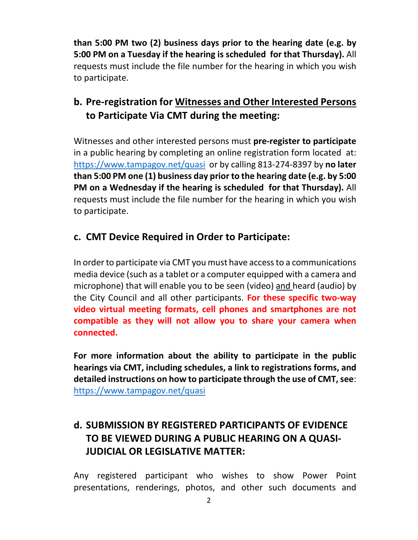**than 5:00 PM two (2) business days prior to the hearing date (e.g. by 5:00 PM on a Tuesday if the hearing is scheduled for that Thursday).** All requests must include the file number for the hearing in which you wish to participate.

## **b. Pre-registration for Witnesses and Other Interested Persons to Participate Via CMT during the meeting:**

Witnesses and other interested persons must **pre-register to participate**  in a public hearing by completing an online registration form located at: <https://www.tampagov.net/quasi>or by calling 813-274-8397 by **no later than 5:00 PM one (1) business day prior to the hearing date (e.g. by 5:00 PM on a Wednesday if the hearing is scheduled for that Thursday).** All requests must include the file number for the hearing in which you wish to participate.

#### **c. CMT Device Required in Order to Participate:**

In order to participate via CMT you must have access to a communications media device (such as a tablet or a computer equipped with a camera and microphone) that will enable you to be seen (video) and heard (audio) by the City Council and all other participants. **For these specific two-way video virtual meeting formats, cell phones and smartphones are not compatible as they will not allow you to share your camera when connected.**

**For more information about the ability to participate in the public hearings via CMT, including schedules, a link to registrations forms, and detailed instructions on how to participate through the use of CMT, see**: <https://www.tampagov.net/quasi>

# **d. SUBMISSION BY REGISTERED PARTICIPANTS OF EVIDENCE TO BE VIEWED DURING A PUBLIC HEARING ON A QUASI-JUDICIAL OR LEGISLATIVE MATTER:**

Any registered participant who wishes to show Power Point presentations, renderings, photos, and other such documents and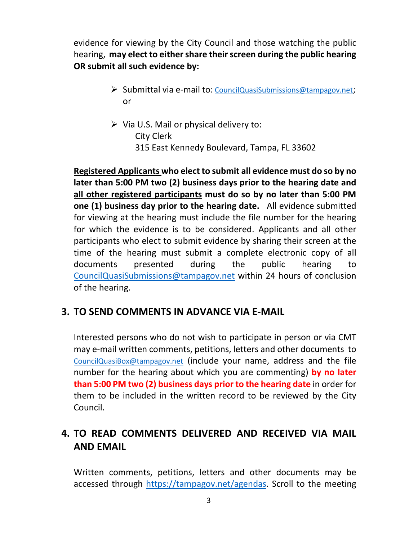evidence for viewing by the City Council and those watching the public hearing, **may elect to either share their screen during the public hearing OR submit all such evidence by:**

- Submittal via e-mail to: [CouncilQuasiSubmissions@tampagov.net;](mailto:CouncilQuasiSubmissions@tampagov.net) or
- $\triangleright$  Via U.S. Mail or physical delivery to: City Clerk 315 East Kennedy Boulevard, Tampa, FL 33602

**Registered Applicants who elect to submit all evidence must do so by no later than 5:00 PM two (2) business days prior to the hearing date and all other registered participants must do so by no later than 5:00 PM one (1) business day prior to the hearing date.** All evidence submitted for viewing at the hearing must include the file number for the hearing for which the evidence is to be considered. Applicants and all other participants who elect to submit evidence by sharing their screen at the time of the hearing must submit a complete electronic copy of all documents presented during the public hearing to [CouncilQuasiSubmissions@tampagov.net](mailto:CouncilQuasiSubmissions@tampagov.net) within 24 hours of conclusion of the hearing.

## **3. TO SEND COMMENTS IN ADVANCE VIA E-MAIL**

Interested persons who do not wish to participate in person or via CMT may e-mail written comments, petitions, letters and other documents to [CouncilQuasiBox@tampagov.net](mailto:CouncilQuasiBox@tampagov.net) (include your name, address and the file number for the hearing about which you are commenting) **by no later than 5:00 PM two (2) business days prior to the hearing date** in order for them to be included in the written record to be reviewed by the City Council.

# **4. TO READ COMMENTS DELIVERED AND RECEIVED VIA MAIL AND EMAIL**

Written comments, petitions, letters and other documents may be accessed through [https://tampagov.net/agendas.](https://tampagov.net/agendas) Scroll to the meeting